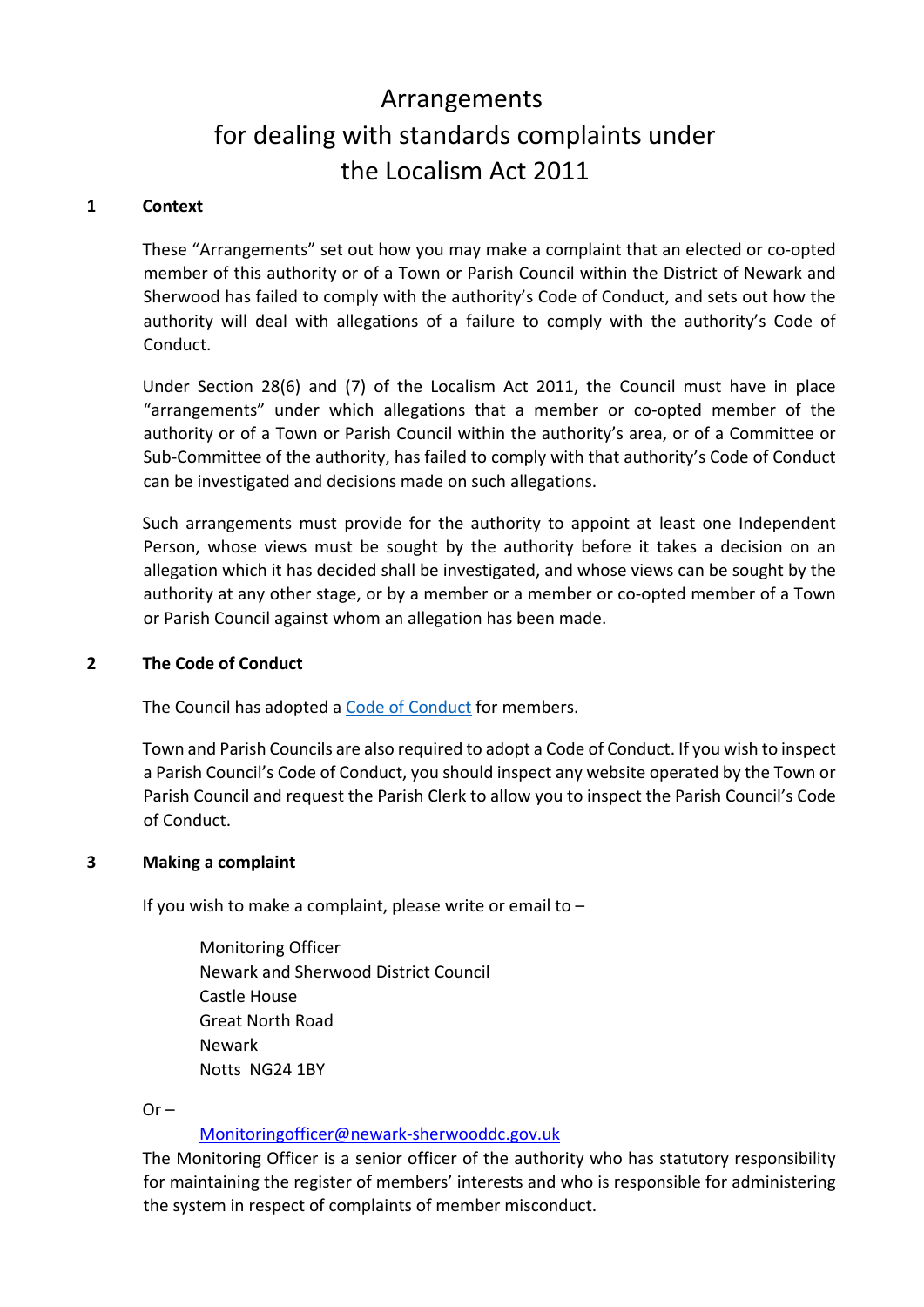# Arrangements for dealing with standards complaints under the Localism Act 2011

#### **1 Context**

These "Arrangements" set out how you may make a complaint that an elected or co-opted member of this authority or of a Town or Parish Council within the District of Newark and Sherwood has failed to comply with the authority's Code of Conduct, and sets out how the authority will deal with allegations of a failure to comply with the authority's Code of Conduct.

Under Section 28(6) and (7) of the Localism Act 2011, the Council must have in place "arrangements" under which allegations that a member or co-opted member of the authority or of a Town or Parish Council within the authority's area, or of a Committee or Sub-Committee of the authority, has failed to comply with that authority's Code of Conduct can be investigated and decisions made on such allegations.

Such arrangements must provide for the authority to appoint at least one Independent Person, whose views must be sought by the authority before it takes a decision on an allegation which it has decided shall be investigated, and whose views can be sought by the authority at any other stage, or by a member or a member or co-opted member of a Town or Parish Council against whom an allegation has been made.

#### **2 The Code of Conduct**

The Council has adopted a [Code of Conduct](https://www.newark-sherwooddc.gov.uk/media/nsdc-redesign/documents-and-images/your-council/your-council/councillors-and-committees/councilx27s-constitution-/PART-4-Codes-and-Protocols-(July-2021).pdf) for members.

Town and Parish Councils are also required to adopt a Code of Conduct. If you wish to inspect a Parish Council's Code of Conduct, you should inspect any website operated by the Town or Parish Council and request the Parish Clerk to allow you to inspect the Parish Council's Code of Conduct.

#### **3 Making a complaint**

If you wish to make a complaint, please write or email to  $-$ 

Monitoring Officer Newark and Sherwood District Council Castle House Great North Road Newark Notts NG24 1BY

 $Or -$ 

#### Monitoringofficer@newark-sherwooddc.gov.uk

The Monitoring Officer is a senior officer of the authority who has statutory responsibility for maintaining the register of members' interests and who is responsible for administering the system in respect of complaints of member misconduct.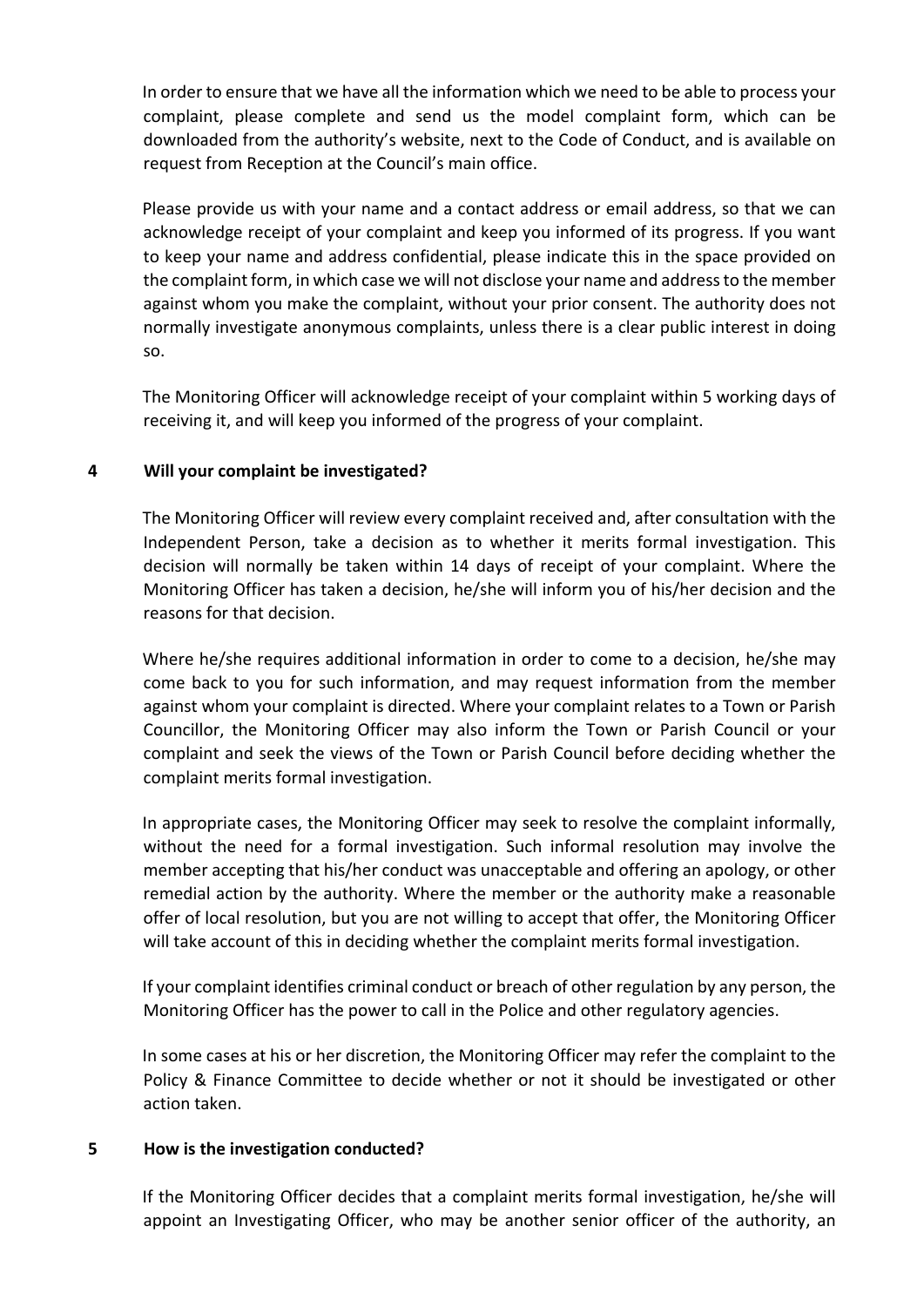In order to ensure that we have all the information which we need to be able to process your complaint, please complete and send us the model complaint form, which can be downloaded from the authority's website, next to the Code of Conduct, and is available on request from Reception at the Council's main office.

Please provide us with your name and a contact address or email address, so that we can acknowledge receipt of your complaint and keep you informed of its progress. If you want to keep your name and address confidential, please indicate this in the space provided on the complaint form, in which case we will not disclose your name and address to the member against whom you make the complaint, without your prior consent. The authority does not normally investigate anonymous complaints, unless there is a clear public interest in doing so.

The Monitoring Officer will acknowledge receipt of your complaint within 5 working days of receiving it, and will keep you informed of the progress of your complaint.

# **4 Will your complaint be investigated?**

The Monitoring Officer will review every complaint received and, after consultation with the Independent Person, take a decision as to whether it merits formal investigation. This decision will normally be taken within 14 days of receipt of your complaint. Where the Monitoring Officer has taken a decision, he/she will inform you of his/her decision and the reasons for that decision.

Where he/she requires additional information in order to come to a decision, he/she may come back to you for such information, and may request information from the member against whom your complaint is directed. Where your complaint relates to a Town or Parish Councillor, the Monitoring Officer may also inform the Town or Parish Council or your complaint and seek the views of the Town or Parish Council before deciding whether the complaint merits formal investigation.

In appropriate cases, the Monitoring Officer may seek to resolve the complaint informally, without the need for a formal investigation. Such informal resolution may involve the member accepting that his/her conduct was unacceptable and offering an apology, or other remedial action by the authority. Where the member or the authority make a reasonable offer of local resolution, but you are not willing to accept that offer, the Monitoring Officer will take account of this in deciding whether the complaint merits formal investigation.

If your complaint identifies criminal conduct or breach of other regulation by any person, the Monitoring Officer has the power to call in the Police and other regulatory agencies.

In some cases at his or her discretion, the Monitoring Officer may refer the complaint to the Policy & Finance Committee to decide whether or not it should be investigated or other action taken.

#### **5 How is the investigation conducted?**

If the Monitoring Officer decides that a complaint merits formal investigation, he/she will appoint an Investigating Officer, who may be another senior officer of the authority, an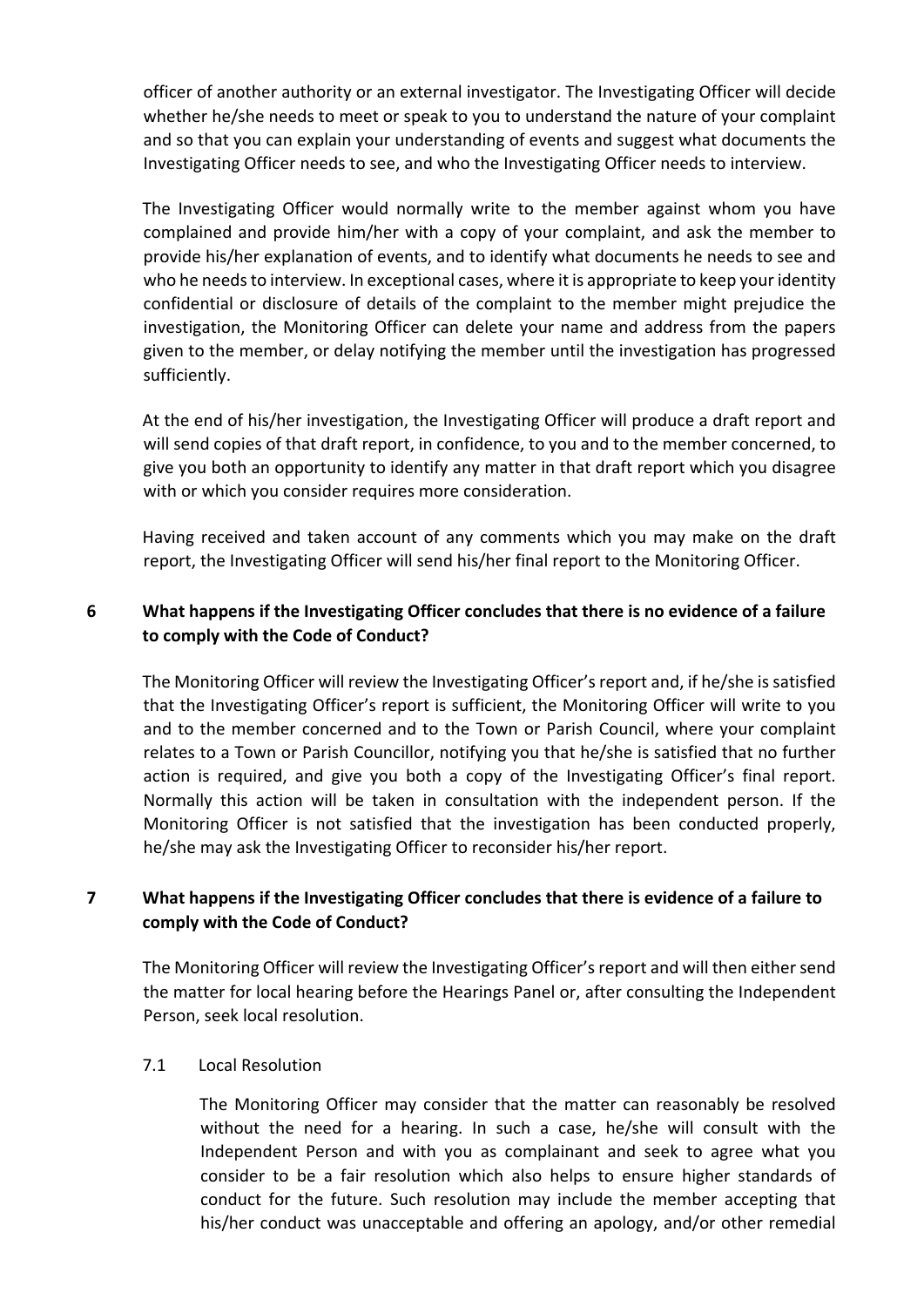officer of another authority or an external investigator. The Investigating Officer will decide whether he/she needs to meet or speak to you to understand the nature of your complaint and so that you can explain your understanding of events and suggest what documents the Investigating Officer needs to see, and who the Investigating Officer needs to interview.

The Investigating Officer would normally write to the member against whom you have complained and provide him/her with a copy of your complaint, and ask the member to provide his/her explanation of events, and to identify what documents he needs to see and who he needs to interview. In exceptional cases, where it is appropriate to keep your identity confidential or disclosure of details of the complaint to the member might prejudice the investigation, the Monitoring Officer can delete your name and address from the papers given to the member, or delay notifying the member until the investigation has progressed sufficiently.

At the end of his/her investigation, the Investigating Officer will produce a draft report and will send copies of that draft report, in confidence, to you and to the member concerned, to give you both an opportunity to identify any matter in that draft report which you disagree with or which you consider requires more consideration.

Having received and taken account of any comments which you may make on the draft report, the Investigating Officer will send his/her final report to the Monitoring Officer.

# **6 What happens if the Investigating Officer concludes that there is no evidence of a failure to comply with the Code of Conduct?**

The Monitoring Officer will review the Investigating Officer's report and, if he/she is satisfied that the Investigating Officer's report is sufficient, the Monitoring Officer will write to you and to the member concerned and to the Town or Parish Council, where your complaint relates to a Town or Parish Councillor, notifying you that he/she is satisfied that no further action is required, and give you both a copy of the Investigating Officer's final report. Normally this action will be taken in consultation with the independent person. If the Monitoring Officer is not satisfied that the investigation has been conducted properly, he/she may ask the Investigating Officer to reconsider his/her report.

# **7 What happens if the Investigating Officer concludes that there is evidence of a failure to comply with the Code of Conduct?**

The Monitoring Officer will review the Investigating Officer's report and will then either send the matter for local hearing before the Hearings Panel or, after consulting the Independent Person, seek local resolution.

#### 7.1 Local Resolution

The Monitoring Officer may consider that the matter can reasonably be resolved without the need for a hearing. In such a case, he/she will consult with the Independent Person and with you as complainant and seek to agree what you consider to be a fair resolution which also helps to ensure higher standards of conduct for the future. Such resolution may include the member accepting that his/her conduct was unacceptable and offering an apology, and/or other remedial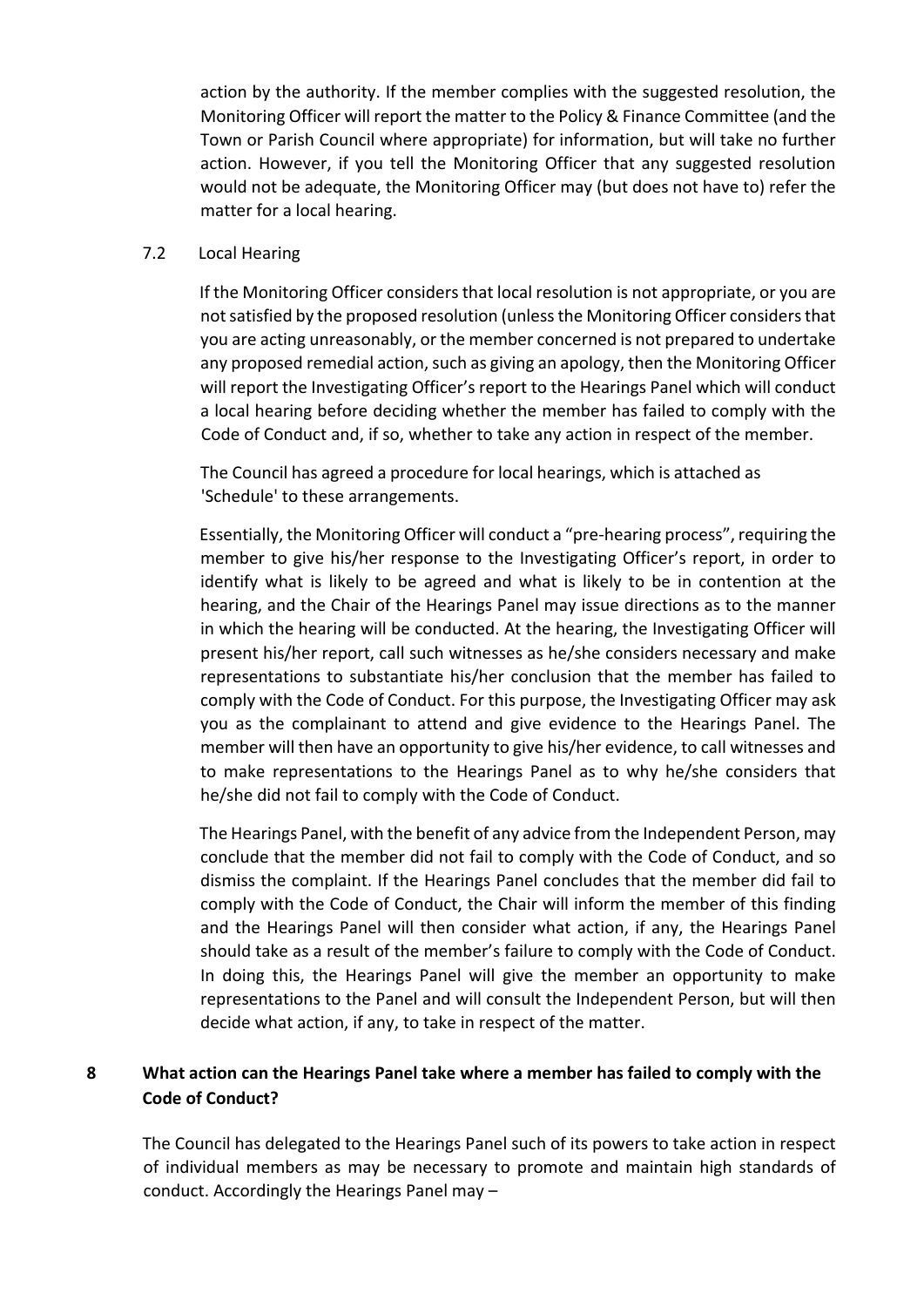action by the authority. If the member complies with the suggested resolution, the Monitoring Officer will report the matter to the Policy & Finance Committee (and the Town or Parish Council where appropriate) for information, but will take no further action. However, if you tell the Monitoring Officer that any suggested resolution would not be adequate, the Monitoring Officer may (but does not have to) refer the matter for a local hearing.

## 7.2 Local Hearing

If the Monitoring Officer considers that local resolution is not appropriate, or you are not satisfied by the proposed resolution (unless the Monitoring Officer considers that you are acting unreasonably, or the member concerned is not prepared to undertake any proposed remedial action, such as giving an apology, then the Monitoring Officer will report the Investigating Officer's report to the Hearings Panel which will conduct a local hearing before deciding whether the member has failed to comply with the Code of Conduct and, if so, whether to take any action in respect of the member.

The Council has agreed a procedure for local hearings, which is attached as 'Schedule' to these arrangements.

Essentially, the Monitoring Officer will conduct a "pre-hearing process", requiring the member to give his/her response to the Investigating Officer's report, in order to identify what is likely to be agreed and what is likely to be in contention at the hearing, and the Chair of the Hearings Panel may issue directions as to the manner in which the hearing will be conducted. At the hearing, the Investigating Officer will present his/her report, call such witnesses as he/she considers necessary and make representations to substantiate his/her conclusion that the member has failed to comply with the Code of Conduct. For this purpose, the Investigating Officer may ask you as the complainant to attend and give evidence to the Hearings Panel. The member will then have an opportunity to give his/her evidence, to call witnesses and to make representations to the Hearings Panel as to why he/she considers that he/she did not fail to comply with the Code of Conduct.

The Hearings Panel, with the benefit of any advice from the Independent Person, may conclude that the member did not fail to comply with the Code of Conduct, and so dismiss the complaint. If the Hearings Panel concludes that the member did fail to comply with the Code of Conduct, the Chair will inform the member of this finding and the Hearings Panel will then consider what action, if any, the Hearings Panel should take as a result of the member's failure to comply with the Code of Conduct. In doing this, the Hearings Panel will give the member an opportunity to make representations to the Panel and will consult the Independent Person, but will then decide what action, if any, to take in respect of the matter.

# **8 What action can the Hearings Panel take where a member has failed to comply with the Code of Conduct?**

The Council has delegated to the Hearings Panel such of its powers to take action in respect of individual members as may be necessary to promote and maintain high standards of conduct. Accordingly the Hearings Panel may –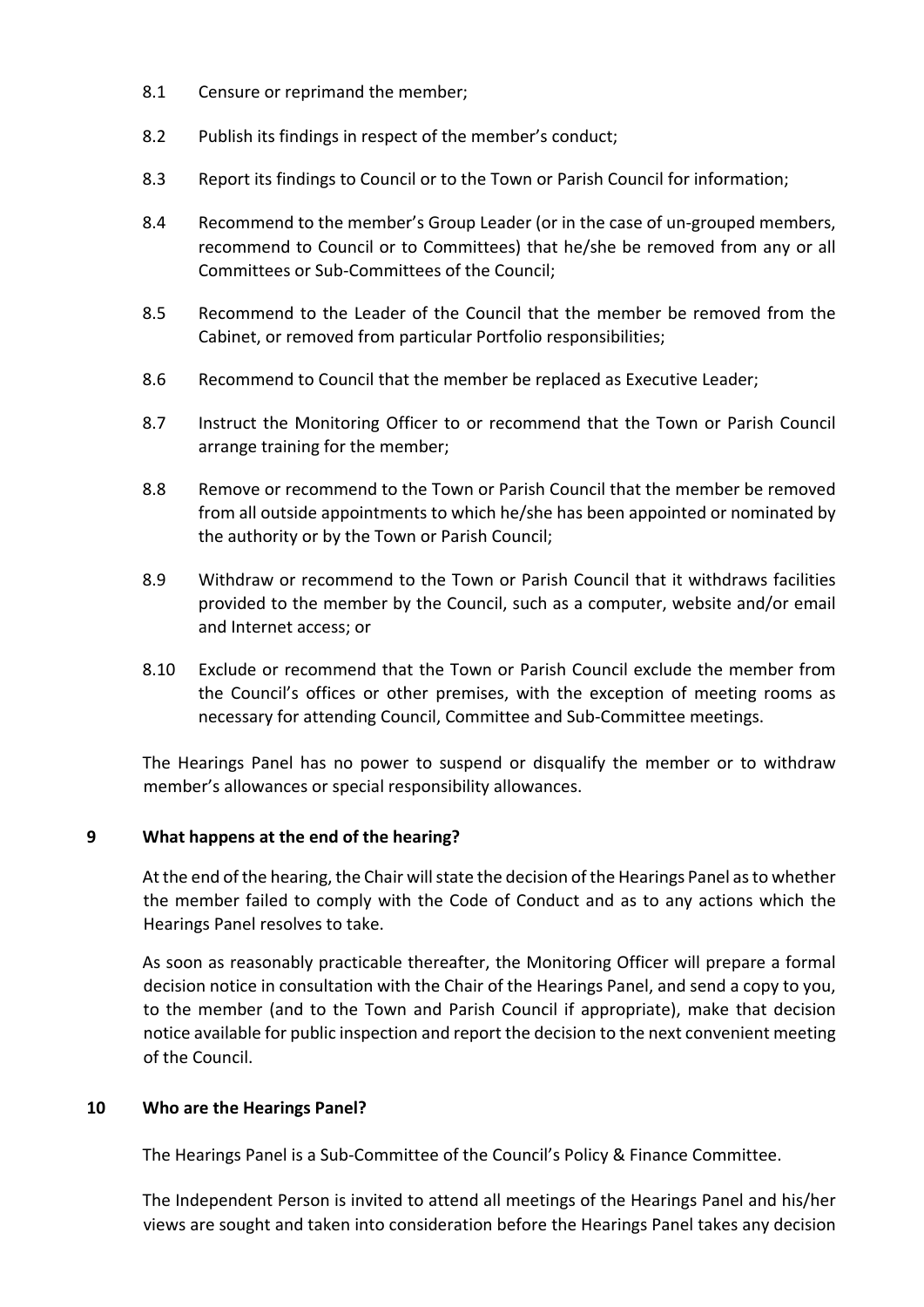- 8.1 Censure or reprimand the member;
- 8.2 Publish its findings in respect of the member's conduct;
- 8.3 Report its findings to Council or to the Town or Parish Council for information;
- 8.4 Recommend to the member's Group Leader (or in the case of un-grouped members, recommend to Council or to Committees) that he/she be removed from any or all Committees or Sub-Committees of the Council;
- 8.5 Recommend to the Leader of the Council that the member be removed from the Cabinet, or removed from particular Portfolio responsibilities;
- 8.6 Recommend to Council that the member be replaced as Executive Leader;
- 8.7 Instruct the Monitoring Officer to or recommend that the Town or Parish Council arrange training for the member;
- 8.8 Remove or recommend to the Town or Parish Council that the member be removed from all outside appointments to which he/she has been appointed or nominated by the authority or by the Town or Parish Council;
- 8.9 Withdraw or recommend to the Town or Parish Council that it withdraws facilities provided to the member by the Council, such as a computer, website and/or email and Internet access; or
- 8.10 Exclude or recommend that the Town or Parish Council exclude the member from the Council's offices or other premises, with the exception of meeting rooms as necessary for attending Council, Committee and Sub-Committee meetings.

The Hearings Panel has no power to suspend or disqualify the member or to withdraw member's allowances or special responsibility allowances.

# **9 What happens at the end of the hearing?**

At the end of the hearing, the Chair will state the decision of the Hearings Panel as to whether the member failed to comply with the Code of Conduct and as to any actions which the Hearings Panel resolves to take.

As soon as reasonably practicable thereafter, the Monitoring Officer will prepare a formal decision notice in consultation with the Chair of the Hearings Panel, and send a copy to you, to the member (and to the Town and Parish Council if appropriate), make that decision notice available for public inspection and report the decision to the next convenient meeting of the Council.

# **10 Who are the Hearings Panel?**

The Hearings Panel is a Sub-Committee of the Council's Policy & Finance Committee.

The Independent Person is invited to attend all meetings of the Hearings Panel and his/her views are sought and taken into consideration before the Hearings Panel takes any decision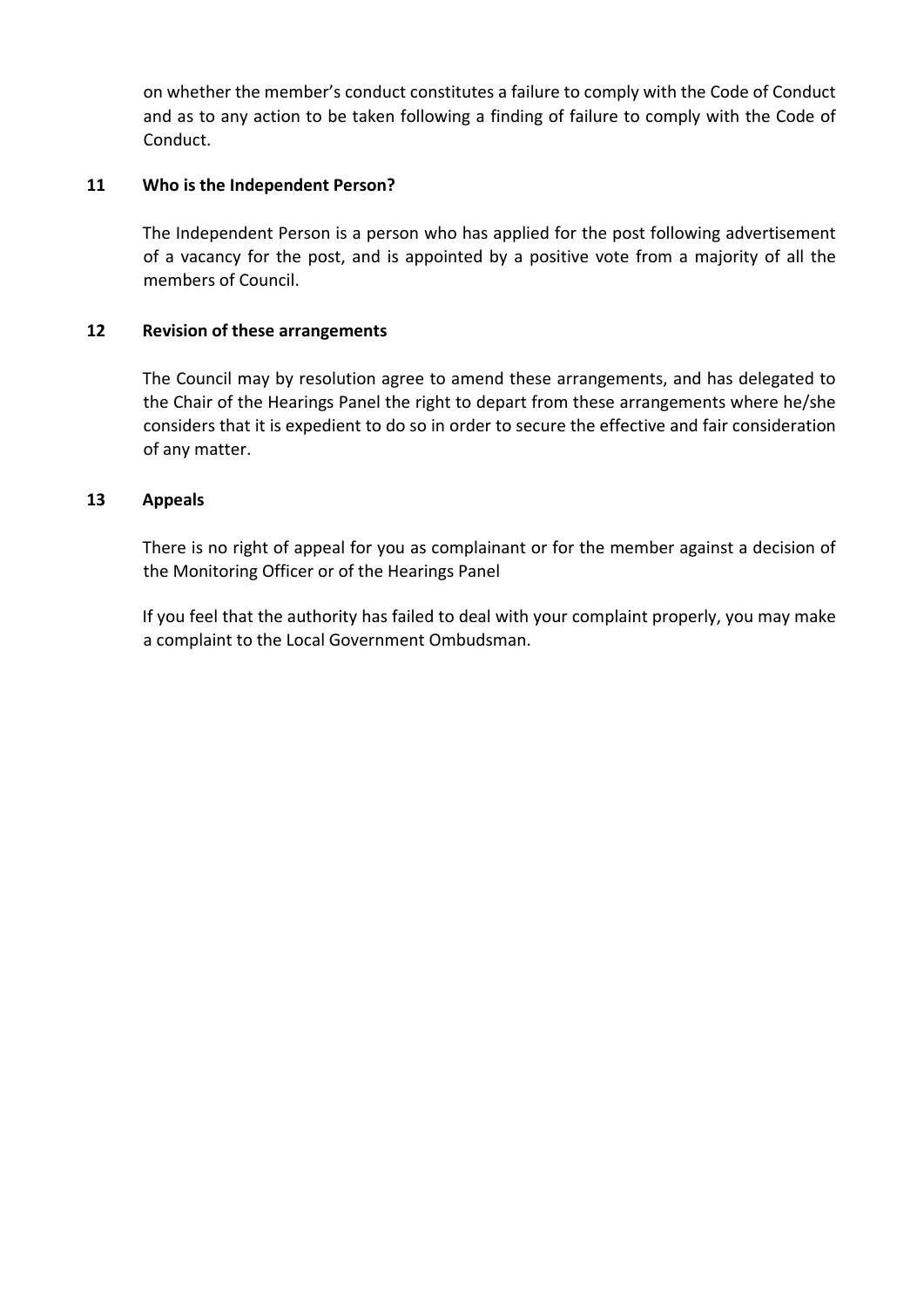on whether the member's conduct constitutes a failure to comply with the Code of Conduct and as to any action to be taken following a finding of failure to comply with the Code of Conduct.

## **11 Who is the Independent Person?**

The Independent Person is a person who has applied for the post following advertisement of a vacancy for the post, and is appointed by a positive vote from a majority of all the members of Council.

## **12 Revision of these arrangements**

The Council may by resolution agree to amend these arrangements, and has delegated to the Chair of the Hearings Panel the right to depart from these arrangements where he/she considers that it is expedient to do so in order to secure the effective and fair consideration of any matter.

## **13 Appeals**

There is no right of appeal for you as complainant or for the member against a decision of the Monitoring Officer or of the Hearings Panel

If you feel that the authority has failed to deal with your complaint properly, you may make a complaint to the Local Government Ombudsman.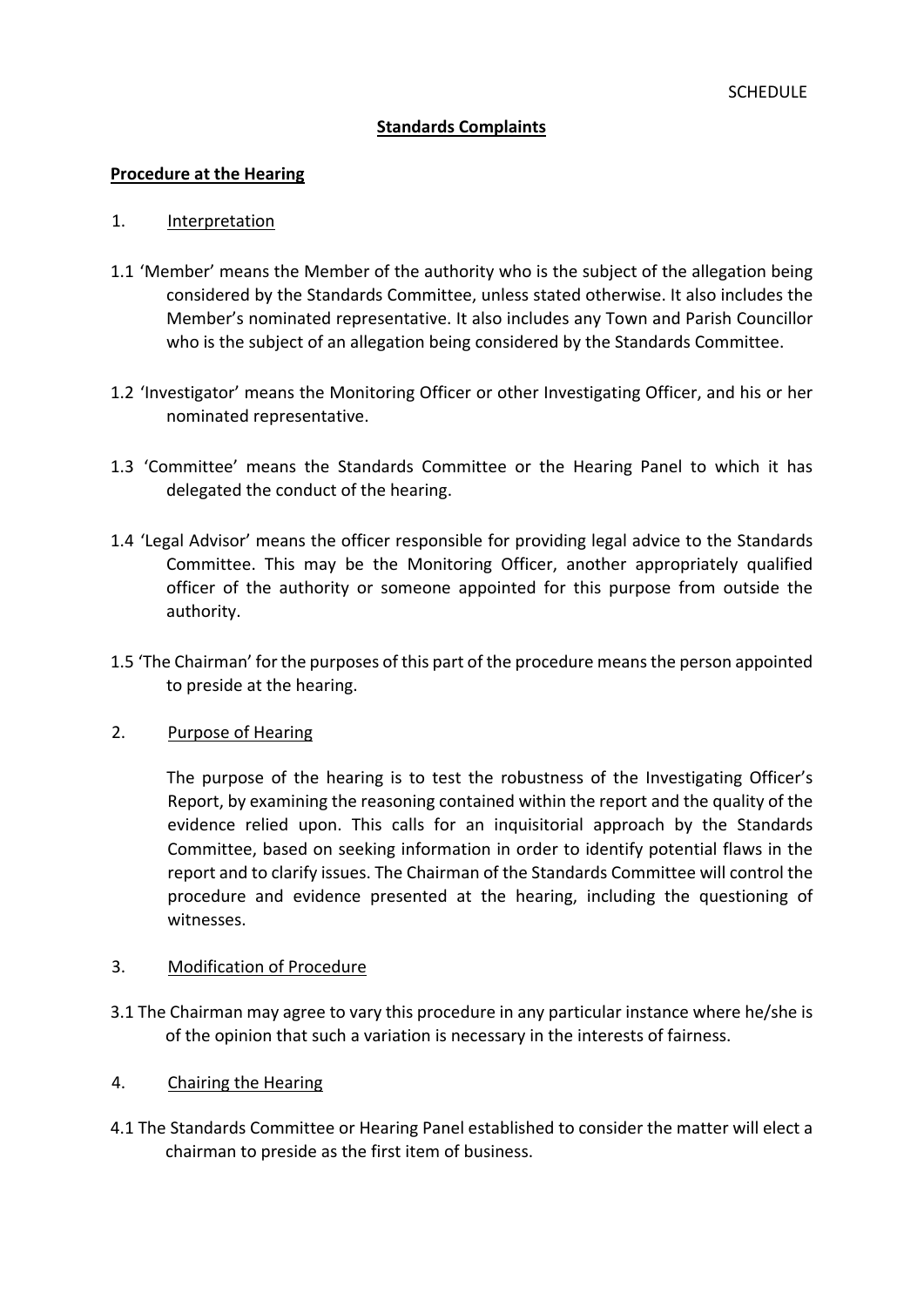## **Standards Complaints**

#### **Procedure at the Hearing**

#### 1. Interpretation

- 1.1 'Member' means the Member of the authority who is the subject of the allegation being considered by the Standards Committee, unless stated otherwise. It also includes the Member's nominated representative. It also includes any Town and Parish Councillor who is the subject of an allegation being considered by the Standards Committee.
- 1.2 'Investigator' means the Monitoring Officer or other Investigating Officer, and his or her nominated representative.
- 1.3 'Committee' means the Standards Committee or the Hearing Panel to which it has delegated the conduct of the hearing.
- 1.4 'Legal Advisor' means the officer responsible for providing legal advice to the Standards Committee. This may be the Monitoring Officer, another appropriately qualified officer of the authority or someone appointed for this purpose from outside the authority.
- 1.5 'The Chairman' for the purposes of this part of the procedure means the person appointed to preside at the hearing.
- 2. Purpose of Hearing

The purpose of the hearing is to test the robustness of the Investigating Officer's Report, by examining the reasoning contained within the report and the quality of the evidence relied upon. This calls for an inquisitorial approach by the Standards Committee, based on seeking information in order to identify potential flaws in the report and to clarify issues. The Chairman of the Standards Committee will control the procedure and evidence presented at the hearing, including the questioning of witnesses.

#### 3. Modification of Procedure

- 3.1 The Chairman may agree to vary this procedure in any particular instance where he/she is of the opinion that such a variation is necessary in the interests of fairness.
- 4. Chairing the Hearing
- 4.1 The Standards Committee or Hearing Panel established to consider the matter will elect a chairman to preside as the first item of business.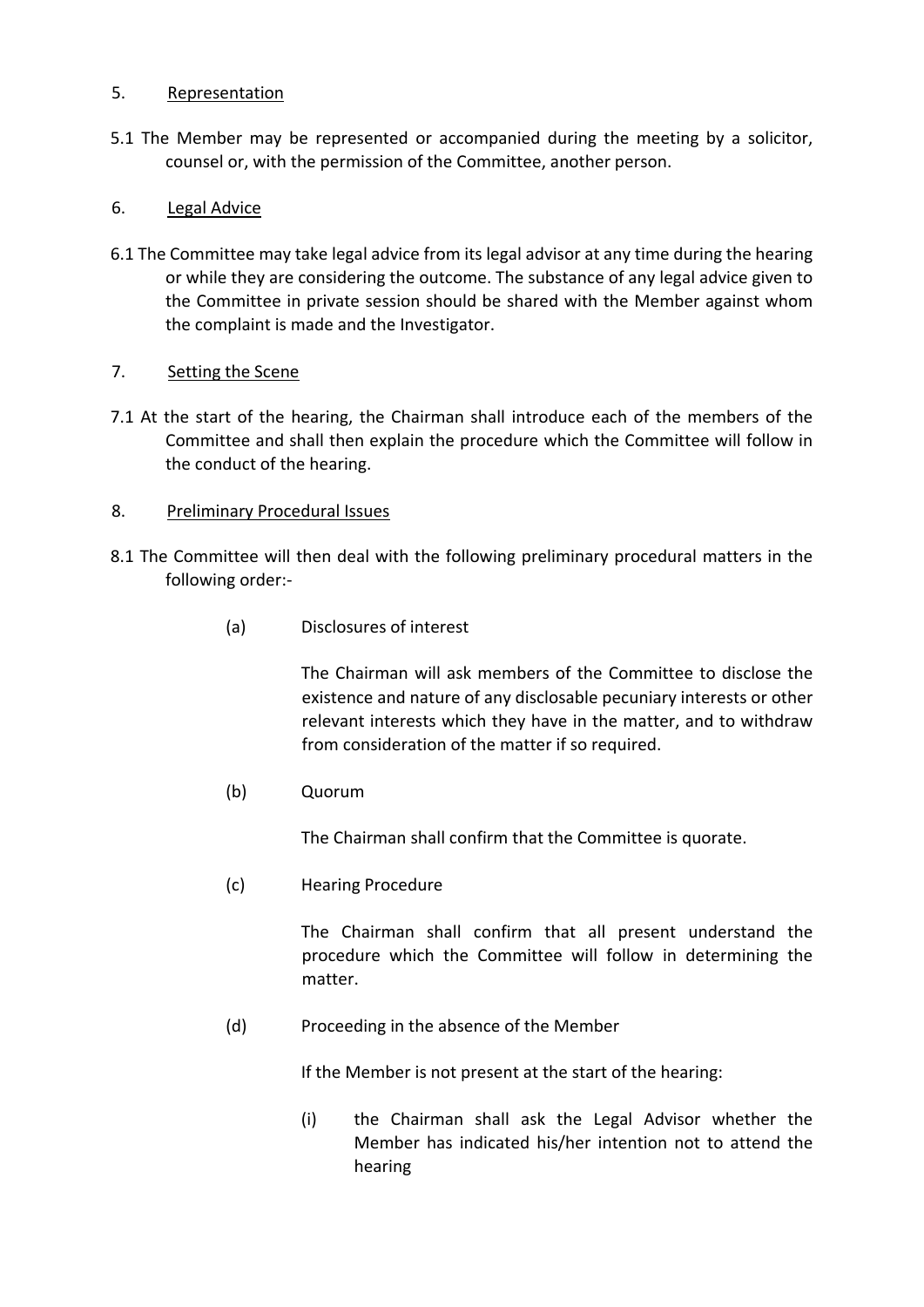## 5. Representation

5.1 The Member may be represented or accompanied during the meeting by a solicitor, counsel or, with the permission of the Committee, another person.

# 6. Legal Advice

6.1 The Committee may take legal advice from its legal advisor at any time during the hearing or while they are considering the outcome. The substance of any legal advice given to the Committee in private session should be shared with the Member against whom the complaint is made and the Investigator.

## 7. Setting the Scene

7.1 At the start of the hearing, the Chairman shall introduce each of the members of the Committee and shall then explain the procedure which the Committee will follow in the conduct of the hearing.

## 8. Preliminary Procedural Issues

- 8.1 The Committee will then deal with the following preliminary procedural matters in the following order:-
	- (a) Disclosures of interest

The Chairman will ask members of the Committee to disclose the existence and nature of any disclosable pecuniary interests or other relevant interests which they have in the matter, and to withdraw from consideration of the matter if so required.

(b) Quorum

The Chairman shall confirm that the Committee is quorate.

(c) Hearing Procedure

The Chairman shall confirm that all present understand the procedure which the Committee will follow in determining the matter.

(d) Proceeding in the absence of the Member

If the Member is not present at the start of the hearing:

(i) the Chairman shall ask the Legal Advisor whether the Member has indicated his/her intention not to attend the hearing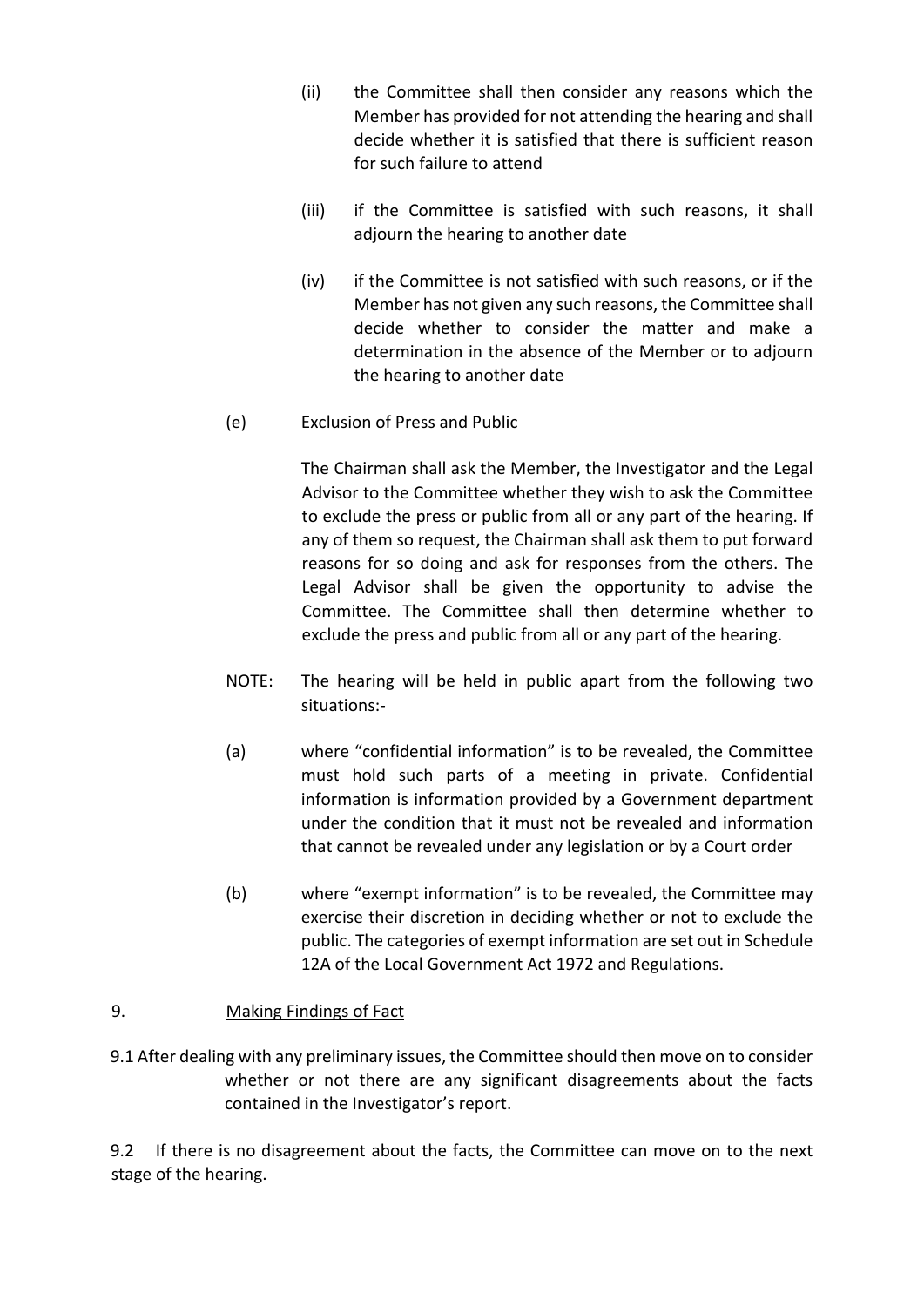- (ii) the Committee shall then consider any reasons which the Member has provided for not attending the hearing and shall decide whether it is satisfied that there is sufficient reason for such failure to attend
- (iii) if the Committee is satisfied with such reasons, it shall adjourn the hearing to another date
- (iv) if the Committee is not satisfied with such reasons, or if the Member has not given any such reasons, the Committee shall decide whether to consider the matter and make a determination in the absence of the Member or to adjourn the hearing to another date
- (e) Exclusion of Press and Public

The Chairman shall ask the Member, the Investigator and the Legal Advisor to the Committee whether they wish to ask the Committee to exclude the press or public from all or any part of the hearing. If any of them so request, the Chairman shall ask them to put forward reasons for so doing and ask for responses from the others. The Legal Advisor shall be given the opportunity to advise the Committee. The Committee shall then determine whether to exclude the press and public from all or any part of the hearing.

- NOTE: The hearing will be held in public apart from the following two situations:-
- (a) where "confidential information" is to be revealed, the Committee must hold such parts of a meeting in private. Confidential information is information provided by a Government department under the condition that it must not be revealed and information that cannot be revealed under any legislation or by a Court order
- (b) where "exempt information" is to be revealed, the Committee may exercise their discretion in deciding whether or not to exclude the public. The categories of exempt information are set out in Schedule 12A of the Local Government Act 1972 and Regulations.

# 9. Making Findings of Fact

9.1 After dealing with any preliminary issues, the Committee should then move on to consider whether or not there are any significant disagreements about the facts contained in the Investigator's report.

9.2 If there is no disagreement about the facts, the Committee can move on to the next stage of the hearing.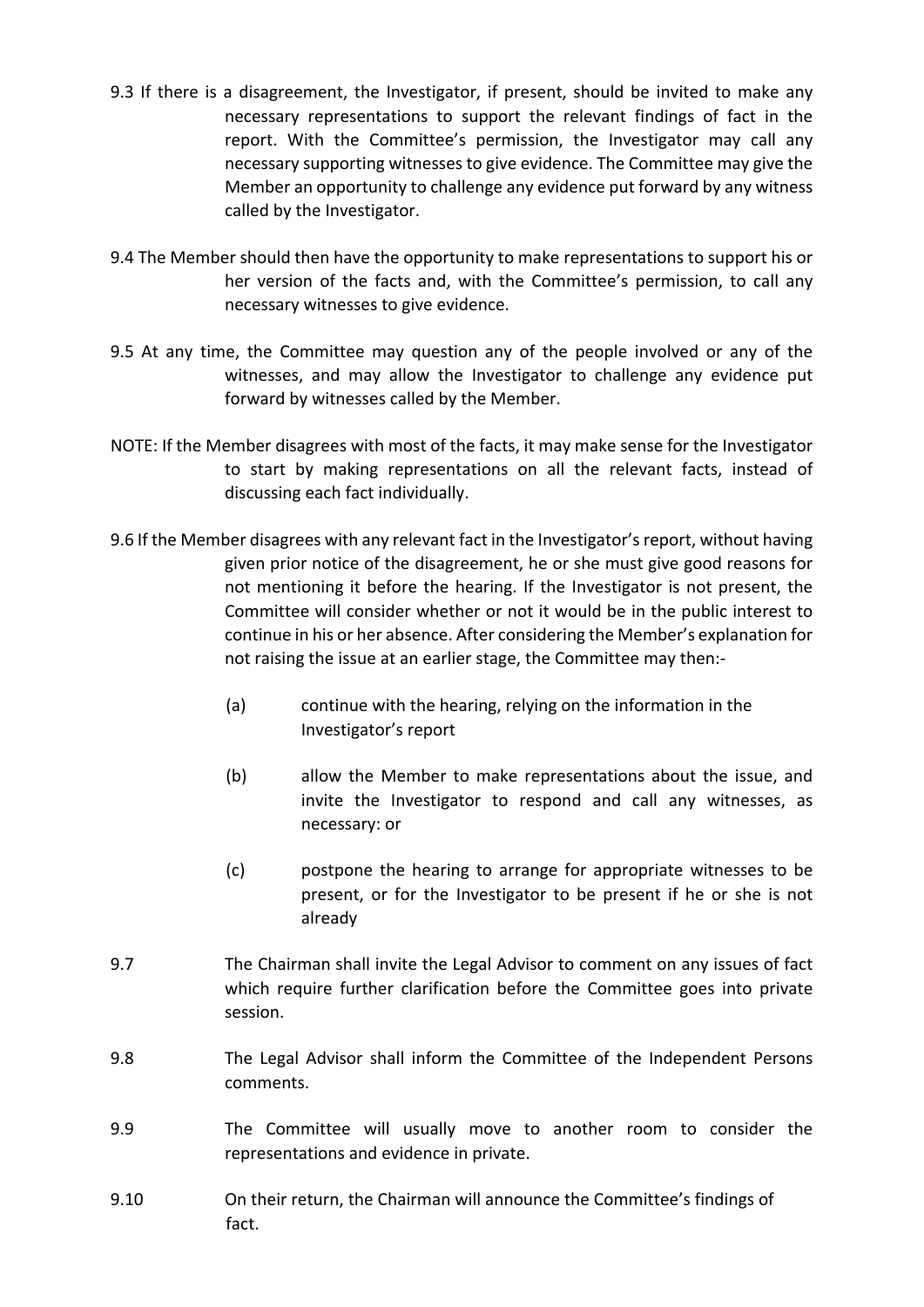- 9.3 If there is a disagreement, the Investigator, if present, should be invited to make any necessary representations to support the relevant findings of fact in the report. With the Committee's permission, the Investigator may call any necessary supporting witnesses to give evidence. The Committee may give the Member an opportunity to challenge any evidence put forward by any witness called by the Investigator.
- 9.4 The Member should then have the opportunity to make representations to support his or her version of the facts and, with the Committee's permission, to call any necessary witnesses to give evidence.
- 9.5 At any time, the Committee may question any of the people involved or any of the witnesses, and may allow the Investigator to challenge any evidence put forward by witnesses called by the Member.
- NOTE: If the Member disagrees with most of the facts, it may make sense for the Investigator to start by making representations on all the relevant facts, instead of discussing each fact individually.
- 9.6 If the Member disagrees with any relevant fact in the Investigator's report, without having given prior notice of the disagreement, he or she must give good reasons for not mentioning it before the hearing. If the Investigator is not present, the Committee will consider whether or not it would be in the public interest to continue in his or her absence. After considering the Member's explanation for not raising the issue at an earlier stage, the Committee may then:-
	- (a) continue with the hearing, relying on the information in the Investigator's report
	- (b) allow the Member to make representations about the issue, and invite the Investigator to respond and call any witnesses, as necessary: or
	- (c) postpone the hearing to arrange for appropriate witnesses to be present, or for the Investigator to be present if he or she is not already
- 9.7 The Chairman shall invite the Legal Advisor to comment on any issues of fact which require further clarification before the Committee goes into private session.
- 9.8 The Legal Advisor shall inform the Committee of the Independent Persons comments.
- 9.9 The Committee will usually move to another room to consider the representations and evidence in private.
- 9.10 On their return, the Chairman will announce the Committee's findings of fact.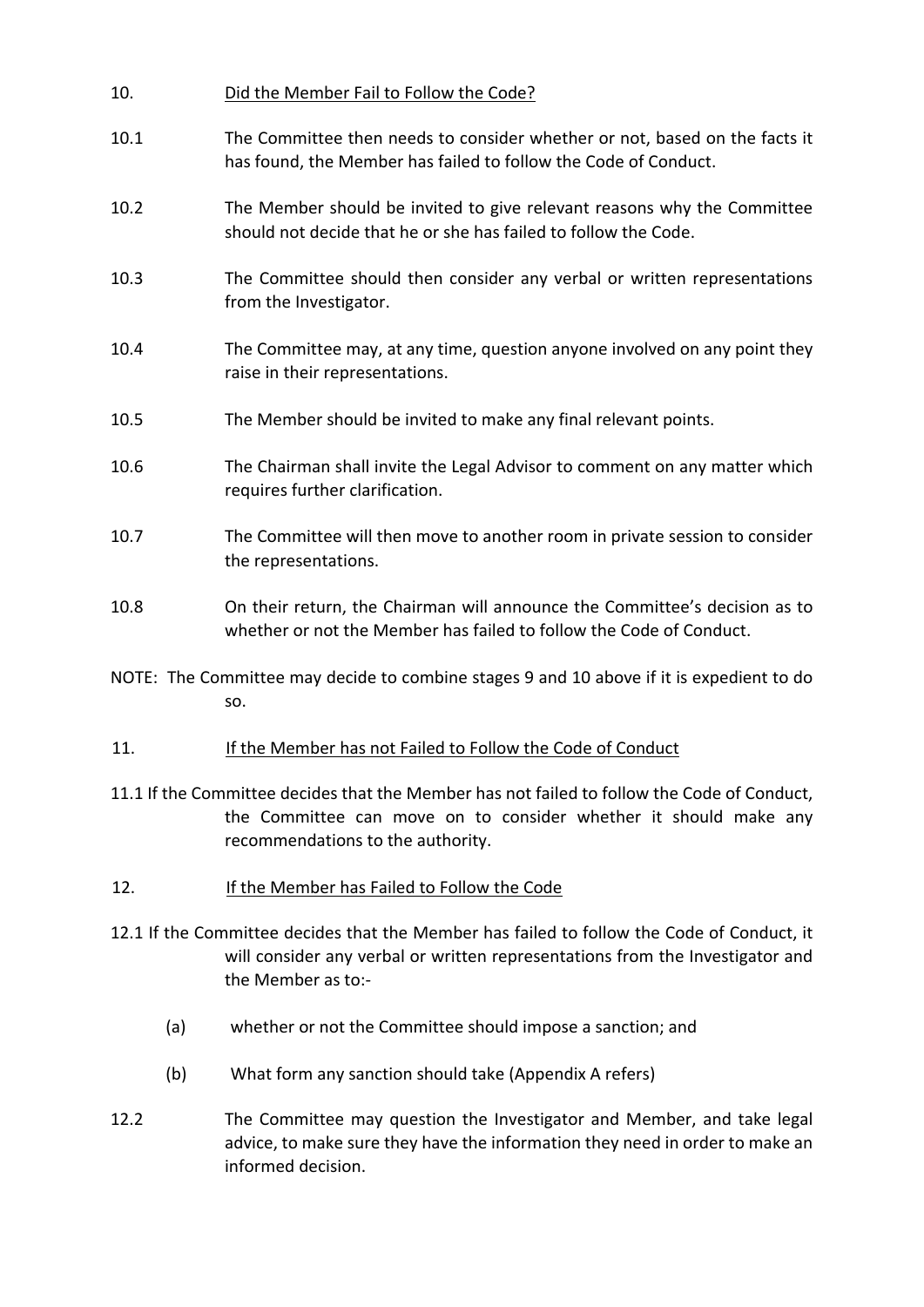| 10.                                                                                                                                                                                               | Did the Member Fail to Follow the Code?                                                                                                                                                              |
|---------------------------------------------------------------------------------------------------------------------------------------------------------------------------------------------------|------------------------------------------------------------------------------------------------------------------------------------------------------------------------------------------------------|
| 10.1                                                                                                                                                                                              | The Committee then needs to consider whether or not, based on the facts it<br>has found, the Member has failed to follow the Code of Conduct.                                                        |
| 10.2                                                                                                                                                                                              | The Member should be invited to give relevant reasons why the Committee<br>should not decide that he or she has failed to follow the Code.                                                           |
| 10.3                                                                                                                                                                                              | The Committee should then consider any verbal or written representations<br>from the Investigator.                                                                                                   |
| 10.4                                                                                                                                                                                              | The Committee may, at any time, question anyone involved on any point they<br>raise in their representations.                                                                                        |
| 10.5                                                                                                                                                                                              | The Member should be invited to make any final relevant points.                                                                                                                                      |
| 10.6                                                                                                                                                                                              | The Chairman shall invite the Legal Advisor to comment on any matter which<br>requires further clarification.                                                                                        |
| 10.7                                                                                                                                                                                              | The Committee will then move to another room in private session to consider<br>the representations.                                                                                                  |
| 10.8                                                                                                                                                                                              | On their return, the Chairman will announce the Committee's decision as to<br>whether or not the Member has failed to follow the Code of Conduct.                                                    |
| NOTE: The Committee may decide to combine stages 9 and 10 above if it is expedient to do<br>SO.                                                                                                   |                                                                                                                                                                                                      |
| 11.                                                                                                                                                                                               | If the Member has not Failed to Follow the Code of Conduct                                                                                                                                           |
|                                                                                                                                                                                                   | 11.1 If the Committee decides that the Member has not failed to follow the Code of Conduct,<br>the Committee can move on to consider whether it should make any<br>recommendations to the authority. |
| 12.                                                                                                                                                                                               | If the Member has Failed to Follow the Code                                                                                                                                                          |
| 12.1 If the Committee decides that the Member has failed to follow the Code of Conduct, it<br>will consider any verbal or written representations from the Investigator and<br>the Member as to:- |                                                                                                                                                                                                      |
| (a)                                                                                                                                                                                               | whether or not the Committee should impose a sanction; and                                                                                                                                           |
| (b)                                                                                                                                                                                               | What form any sanction should take (Appendix A refers)                                                                                                                                               |
| 12.2                                                                                                                                                                                              | The Committee may question the Investigator and Member, and take legal                                                                                                                               |

12.2 The Committee may question the Investigator and Member, and take legal advice, to make sure they have the information they need in order to make an informed decision.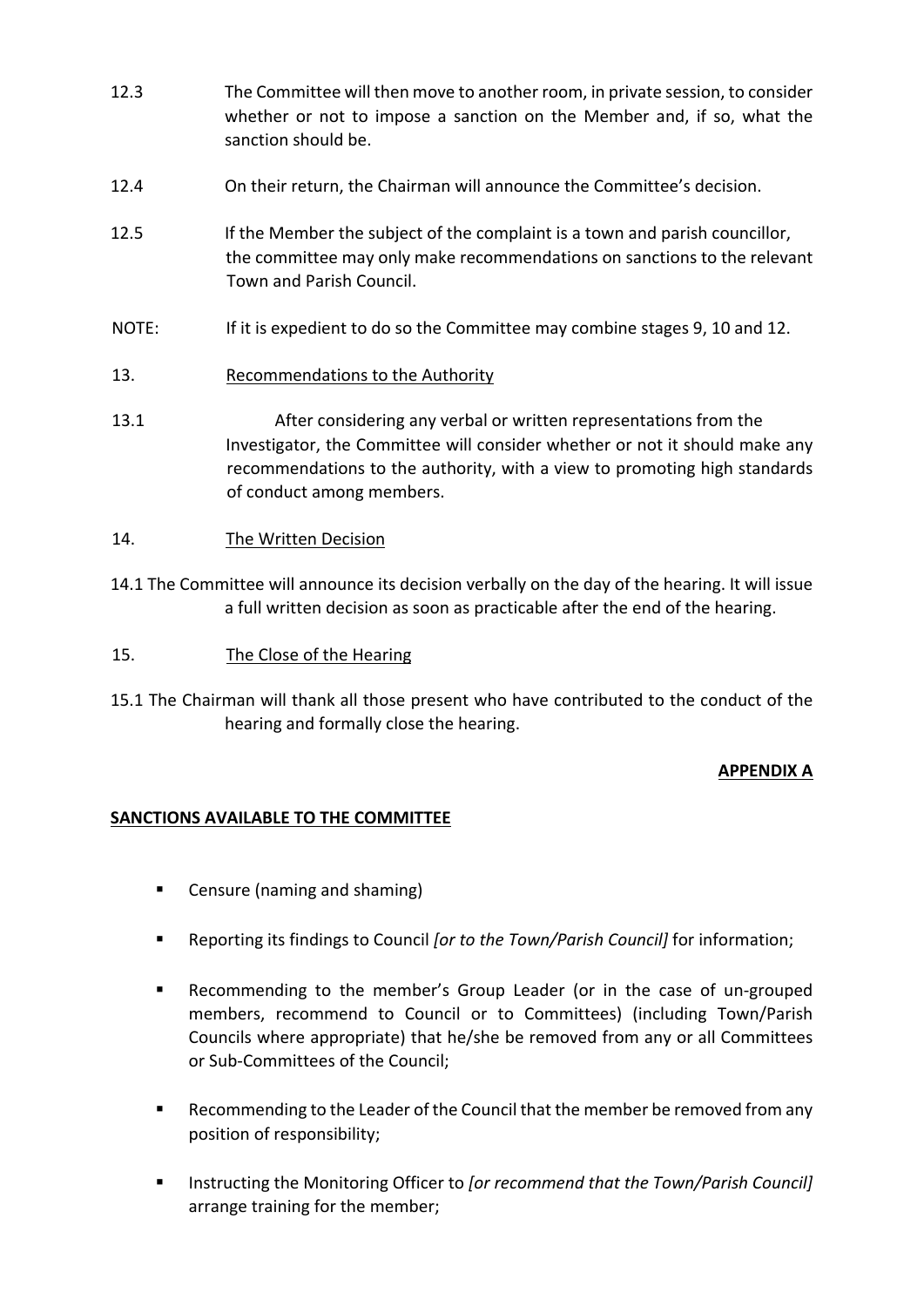- 12.3 The Committee will then move to another room, in private session, to consider whether or not to impose a sanction on the Member and, if so, what the sanction should be.
- 12.4 On their return, the Chairman will announce the Committee's decision.
- 12.5 If the Member the subject of the complaint is a town and parish councillor, the committee may only make recommendations on sanctions to the relevant Town and Parish Council.
- NOTE: If it is expedient to do so the Committee may combine stages 9, 10 and 12.
- 13. Recommendations to the Authority
- 13.1 After considering any verbal or written representations from the Investigator, the Committee will consider whether or not it should make any recommendations to the authority, with a view to promoting high standards of conduct among members.
- 14. The Written Decision
- 14.1 The Committee will announce its decision verbally on the day of the hearing. It will issue a full written decision as soon as practicable after the end of the hearing.
- 15. The Close of the Hearing
- 15.1 The Chairman will thank all those present who have contributed to the conduct of the hearing and formally close the hearing.

# **APPENDIX A**

#### **SANCTIONS AVAILABLE TO THE COMMITTEE**

- Censure (naming and shaming)
- Reporting its findings to Council *[or to the Town/Parish Council]* for information;
- Recommending to the member's Group Leader (or in the case of un-grouped members, recommend to Council or to Committees) (including Town/Parish Councils where appropriate) that he/she be removed from any or all Committees or Sub-Committees of the Council;
- Recommending to the Leader of the Council that the member be removed from any position of responsibility;
- Instructing the Monitoring Officer to *[or recommend that the Town/Parish Council]* arrange training for the member;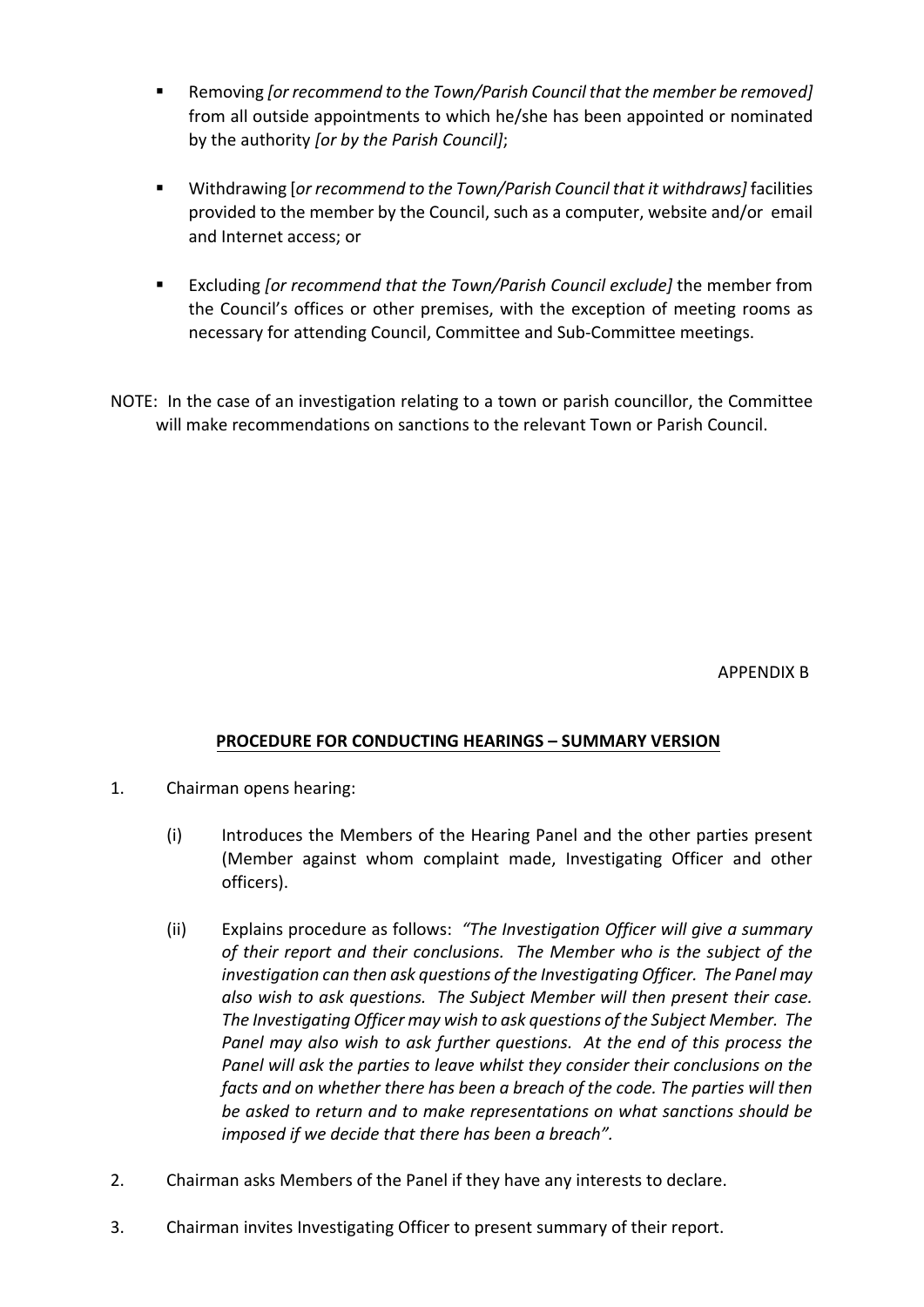- Removing *[or recommend to the Town/Parish Council that the member be removed]* from all outside appointments to which he/she has been appointed or nominated by the authority *[or by the Parish Council]*;
- Withdrawing [*or recommend to the Town/Parish Council that it withdraws]* facilities provided to the member by the Council, such as a computer, website and/or email and Internet access; or
- Excluding *[or recommend that the Town/Parish Council exclude]* the member from the Council's offices or other premises, with the exception of meeting rooms as necessary for attending Council, Committee and Sub-Committee meetings.
- NOTE: In the case of an investigation relating to a town or parish councillor, the Committee will make recommendations on sanctions to the relevant Town or Parish Council.

APPENDIX B

# **PROCEDURE FOR CONDUCTING HEARINGS – SUMMARY VERSION**

- 1. Chairman opens hearing:
	- (i) Introduces the Members of the Hearing Panel and the other parties present (Member against whom complaint made, Investigating Officer and other officers).
	- (ii) Explains procedure as follows: *"The Investigation Officer will give a summary of their report and their conclusions. The Member who is the subject of the investigation can then ask questions of the Investigating Officer. The Panel may also wish to ask questions. The Subject Member will then present their case. The Investigating Officer may wish to ask questions of the Subject Member. The Panel may also wish to ask further questions. At the end of this process the Panel will ask the parties to leave whilst they consider their conclusions on the facts and on whether there has been a breach of the code. The parties will then be asked to return and to make representations on what sanctions should be imposed if we decide that there has been a breach".*
- 2. Chairman asks Members of the Panel if they have any interests to declare.
- 3. Chairman invites Investigating Officer to present summary of their report.